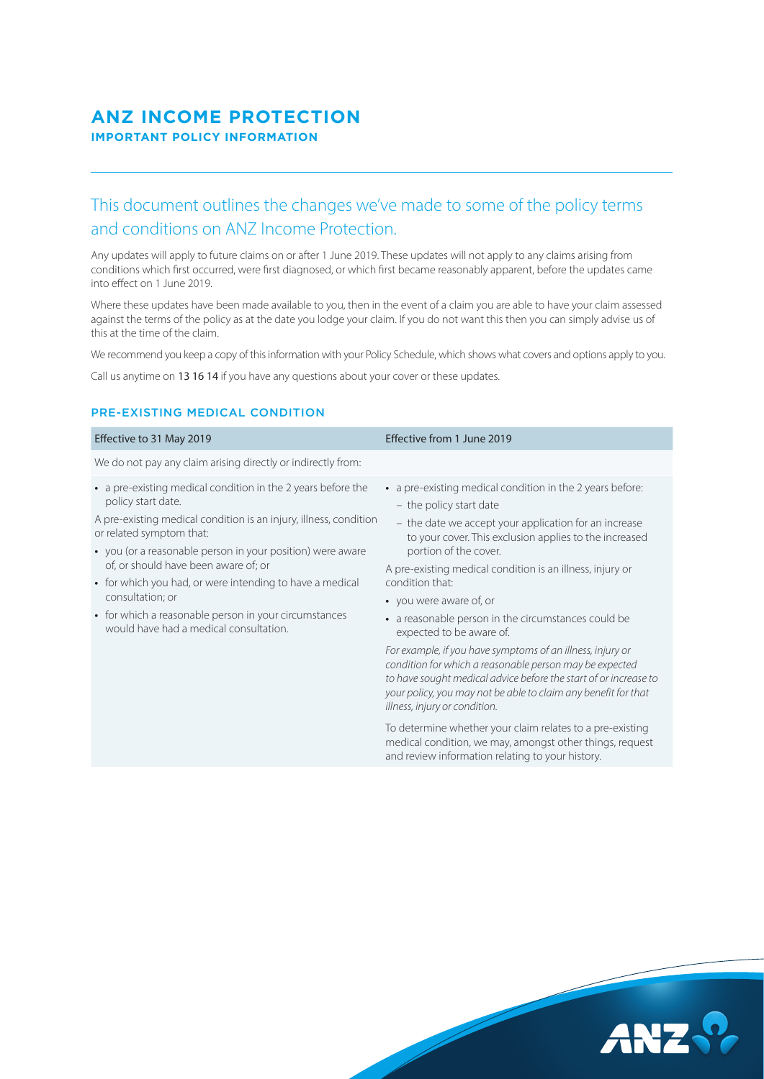## **ANZ INCOME PROTECTION IMPORTANT POLICY INFORMATION**

# This document outlines the changes we've made to some of the policy terms and conditions on ANZ Income Protection.

Any updates will apply to future claims on or after 1 June 2019. These updates will not apply to any claims arising from conditions which first occurred, were first diagnosed, or which first became reasonably apparent, before the updates came into effect on 1 June 2019.

Where these updates have been made available to you, then in the event of a claim you are able to have your claim assessed against the terms of the policy as at the date you lodge your claim. If you do not want this then you can simply advise us of this at the time of the claim.

We recommend you keep a copy of this information with your Policy Schedule, which shows what covers and options apply to you.

Call us anytime on 13 16 14 if you have any questions about your cover or these updates.

## PRE-EXISTING MEDICAL CONDITION

| We do not pay any claim arising directly or indirectly from:<br>• a pre-existing medical condition in the 2 years before the<br>• a pre-existing medical condition in the 2 years before:<br>policy start date.<br>- the policy start date<br>A pre-existing medical condition is an injury, illness, condition<br>- the date we accept your application for an increase<br>or related symptom that:<br>to your cover. This exclusion applies to the increased<br>portion of the cover.<br>• you (or a reasonable person in your position) were aware<br>of, or should have been aware of; or<br>A pre-existing medical condition is an illness, injury or<br>• for which you had, or were intending to have a medical<br>condition that:<br>consultation; or<br>• you were aware of, or<br>• for which a reasonable person in your circumstances<br>• a reasonable person in the circumstances could be<br>would have had a medical consultation.<br>expected to be aware of.<br>For example, if you have symptoms of an illness, injury or<br>condition for which a reasonable person may be expected<br>to have sought medical advice before the start of or increase to<br>your policy, you may not be able to claim any benefit for that<br>illness, injury or condition.<br>To determine whether your claim relates to a pre-existing | Effective to 31 May 2019 | Effective from 1 June 2019 |
|---------------------------------------------------------------------------------------------------------------------------------------------------------------------------------------------------------------------------------------------------------------------------------------------------------------------------------------------------------------------------------------------------------------------------------------------------------------------------------------------------------------------------------------------------------------------------------------------------------------------------------------------------------------------------------------------------------------------------------------------------------------------------------------------------------------------------------------------------------------------------------------------------------------------------------------------------------------------------------------------------------------------------------------------------------------------------------------------------------------------------------------------------------------------------------------------------------------------------------------------------------------------------------------------------------------------------------------------|--------------------------|----------------------------|
|                                                                                                                                                                                                                                                                                                                                                                                                                                                                                                                                                                                                                                                                                                                                                                                                                                                                                                                                                                                                                                                                                                                                                                                                                                                                                                                                             |                          |                            |
|                                                                                                                                                                                                                                                                                                                                                                                                                                                                                                                                                                                                                                                                                                                                                                                                                                                                                                                                                                                                                                                                                                                                                                                                                                                                                                                                             |                          |                            |



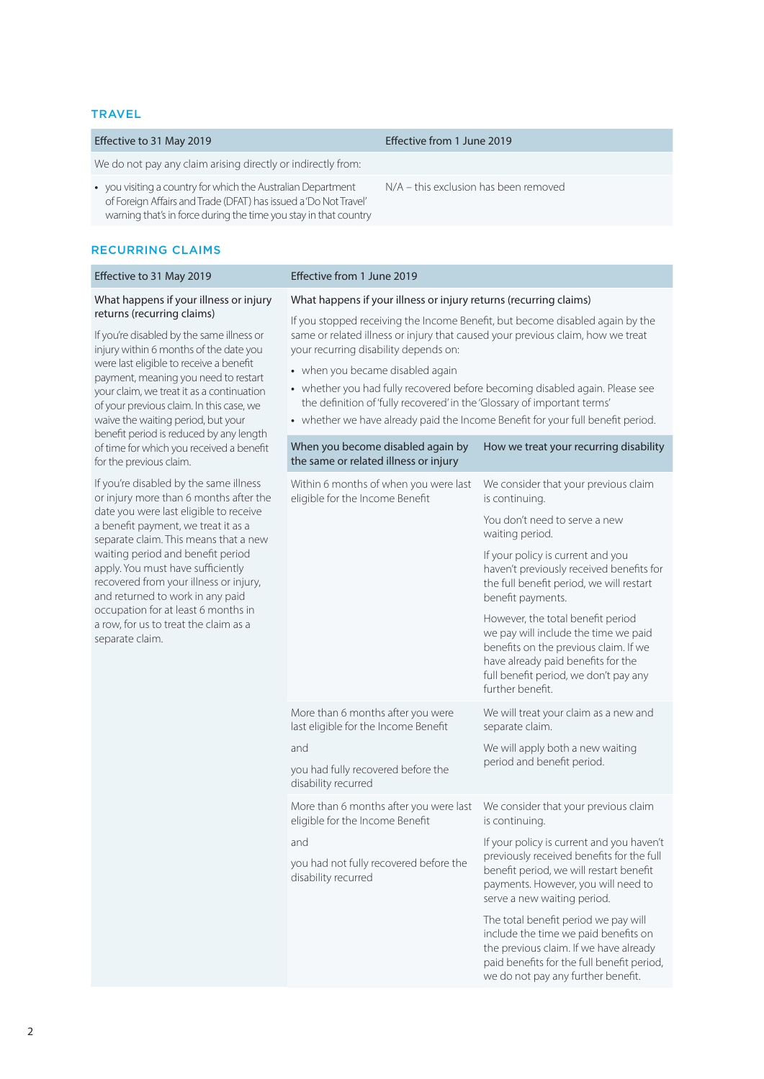#### **TRAVEL**

#### Effective to 31 May 2019 Effective from 1 June 2019

N/A – this exclusion has been removed

We do not pay any claim arising directly or indirectly from:

**•** you visiting a country for which the Australian Department of Foreign Affairs and Trade (DFAT) has issued a 'Do Not Travel' warning that's in force during the time you stay in that country

#### RECURRING CLAIMS

#### Effective to 31 May 2019 Effective from 1 June 2019 What happens if your illness or injury returns (recurring claims) If you're disabled by the same illness or injury within 6 months of the date you were last eligible to receive a benefit payment, meaning you need to restart your claim, we treat it as a continuation of your previous claim. In this case, we waive the waiting period, but your benefit period is reduced by any length of time for which you received a benefit for the previous claim. If you're disabled by the same illness or injury more than 6 months after the date you were last eligible to receive a benefit payment, we treat it as a separate claim. This means that a new waiting period and benefit period apply. You must have sufficiently recovered from your illness or injury, and returned to work in any paid occupation for at least 6 months in a row, for us to treat the claim as a separate claim. What happens if your illness or injury returns (recurring claims) If you stopped receiving the Income Benefit, but become disabled again by the same or related illness or injury that caused your previous claim, how we treat your recurring disability depends on: **•** when you became disabled again **•** whether you had fully recovered before becoming disabled again. Please see the definition of 'fully recovered' in the 'Glossary of important terms' **•** whether we have already paid the Income Benefit for your full benefit period. When you become disabled again by the same or related illness or injury How we treat your recurring disability Within 6 months of when you were last eligible for the Income Benefit We consider that your previous claim is continuing. You don't need to serve a new waiting period. If your policy is current and you haven't previously received benefits for the full benefit period, we will restart benefit payments. However, the total benefit period we pay will include the time we paid benefits on the previous claim. If we have already paid benefits for the full benefit period, we don't pay any further benefit. More than 6 months after you were last eligible for the Income Benefit and you had fully recovered before the disability recurred We will treat your claim as a new and separate claim. We will apply both a new waiting period and benefit period. More than 6 months after you were last eligible for the Income Benefit and you had not fully recovered before the disability recurred We consider that your previous claim is continuing. If your policy is current and you haven't previously received benefits for the full benefit period, we will restart benefit payments. However, you will need to serve a new waiting period. The total benefit period we pay will

include the time we paid benefits on the previous claim. If we have already paid benefits for the full benefit period, we do not pay any further benefit.

2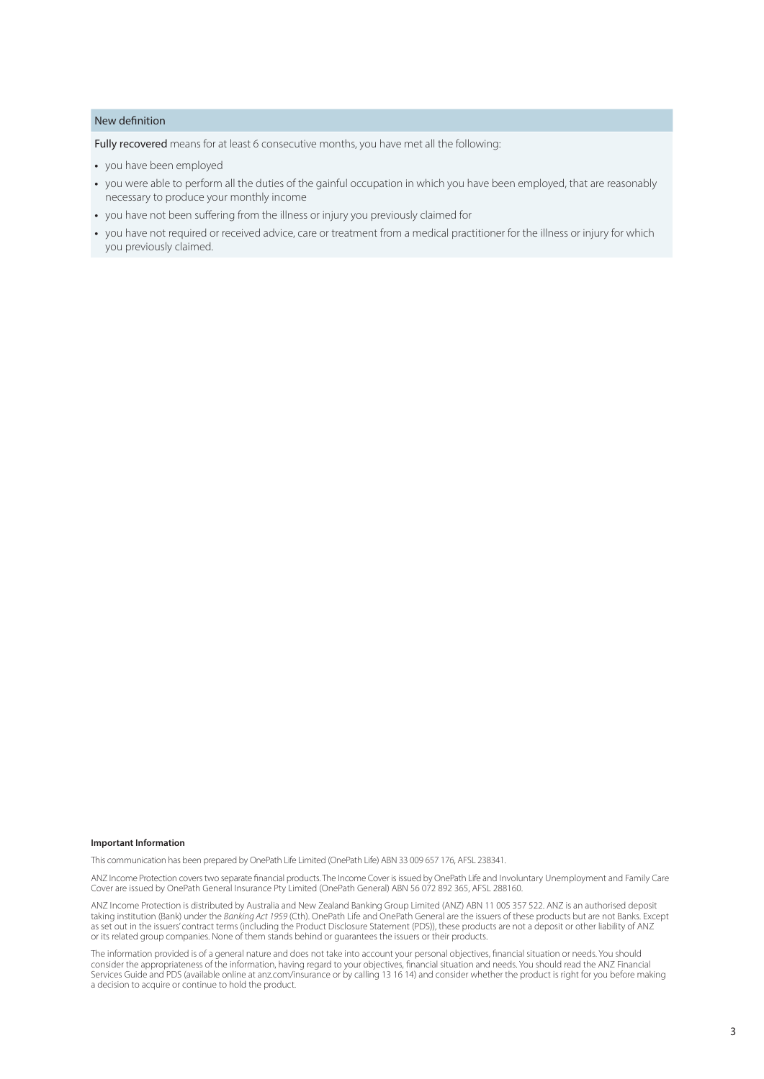### New definition

Fully recovered means for at least 6 consecutive months, you have met all the following:

- **•** you have been employed
- **•** you were able to perform all the duties of the gainful occupation in which you have been employed, that are reasonably necessary to produce your monthly income
- **•** you have not been suffering from the illness or injury you previously claimed for
- **•** you have not required or received advice, care or treatment from a medical practitioner for the illness or injury for which you previously claimed.

#### **Important Information**

This communication has been prepared by OnePath Life Limited (OnePath Life) ABN 33 009 657 176, AFSL 238341.

ANZ Income Protection covers two separate financial products. The Income Cover is issued by OnePath Life and Involuntary Unemployment and Family Care Cover are issued by OnePath General Insurance Pty Limited (OnePath General) ABN 56 072 892 365, AFSL 288160.

ANZ Income Protection is distributed by Australia and New Zealand Banking Group Limited (ANZ) ABN 11 005 357 522. ANZ is an authorised deposit taking institution (Bank) under the *Banking Act 1959* (Cth). OnePath Life and OnePath General are the issuers of these products but are not Banks. Except as set out in the issuers' contract terms (including the Product Disclosure Statement (PDS)), these products are not a deposit or other liability of ANZ or its related group companies. None of them stands behind or guarantees the issuers or their products.

The information provided is of a general nature and does not take into account your personal objectives, financial situation or needs. You should consider the appropriateness of the information, having regard to your objectives, financial situation and needs. You should read the ANZ Financial Services Guide and PDS (available online at anz.com/insurance or by calling 13 16 14) and consider whether the product is right for you before making a decision to acquire or continue to hold the product.